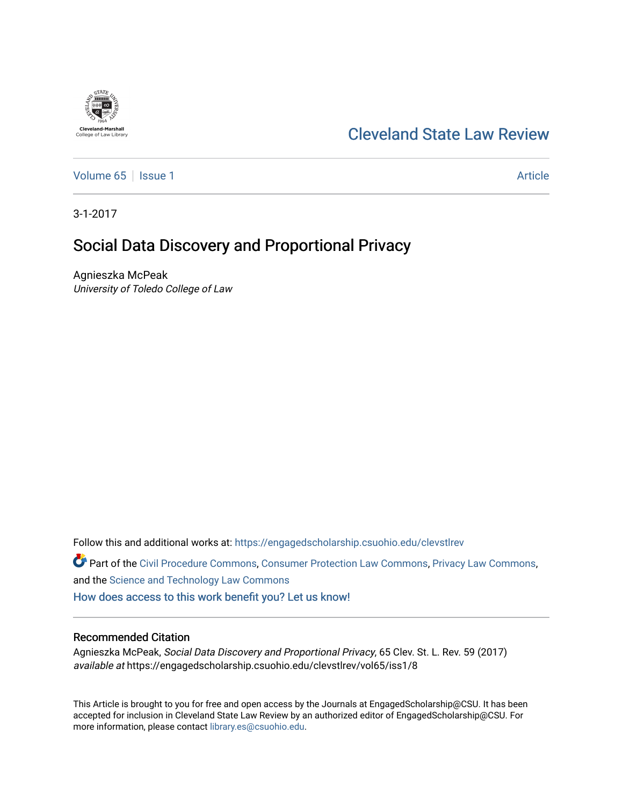## [Cleveland State Law Review](https://engagedscholarship.csuohio.edu/clevstlrev)

[Volume 65](https://engagedscholarship.csuohio.edu/clevstlrev/vol65) | [Issue 1](https://engagedscholarship.csuohio.edu/clevstlrev/vol65/iss1) Article

3-1-2017

# Social Data Discovery and Proportional Privacy

Agnieszka McPeak University of Toledo College of Law

Follow this and additional works at: [https://engagedscholarship.csuohio.edu/clevstlrev](https://engagedscholarship.csuohio.edu/clevstlrev?utm_source=engagedscholarship.csuohio.edu%2Fclevstlrev%2Fvol65%2Fiss1%2F8&utm_medium=PDF&utm_campaign=PDFCoverPages)

Part of the [Civil Procedure Commons,](http://network.bepress.com/hgg/discipline/584?utm_source=engagedscholarship.csuohio.edu%2Fclevstlrev%2Fvol65%2Fiss1%2F8&utm_medium=PDF&utm_campaign=PDFCoverPages) [Consumer Protection Law Commons,](http://network.bepress.com/hgg/discipline/838?utm_source=engagedscholarship.csuohio.edu%2Fclevstlrev%2Fvol65%2Fiss1%2F8&utm_medium=PDF&utm_campaign=PDFCoverPages) [Privacy Law Commons,](http://network.bepress.com/hgg/discipline/1234?utm_source=engagedscholarship.csuohio.edu%2Fclevstlrev%2Fvol65%2Fiss1%2F8&utm_medium=PDF&utm_campaign=PDFCoverPages) and the [Science and Technology Law Commons](http://network.bepress.com/hgg/discipline/875?utm_source=engagedscholarship.csuohio.edu%2Fclevstlrev%2Fvol65%2Fiss1%2F8&utm_medium=PDF&utm_campaign=PDFCoverPages) 

[How does access to this work benefit you? Let us know!](http://library.csuohio.edu/engaged/)

## Recommended Citation

Agnieszka McPeak, Social Data Discovery and Proportional Privacy, 65 Clev. St. L. Rev. 59 (2017) available at https://engagedscholarship.csuohio.edu/clevstlrev/vol65/iss1/8

This Article is brought to you for free and open access by the Journals at EngagedScholarship@CSU. It has been accepted for inclusion in Cleveland State Law Review by an authorized editor of EngagedScholarship@CSU. For more information, please contact [library.es@csuohio.edu](mailto:library.es@csuohio.edu).

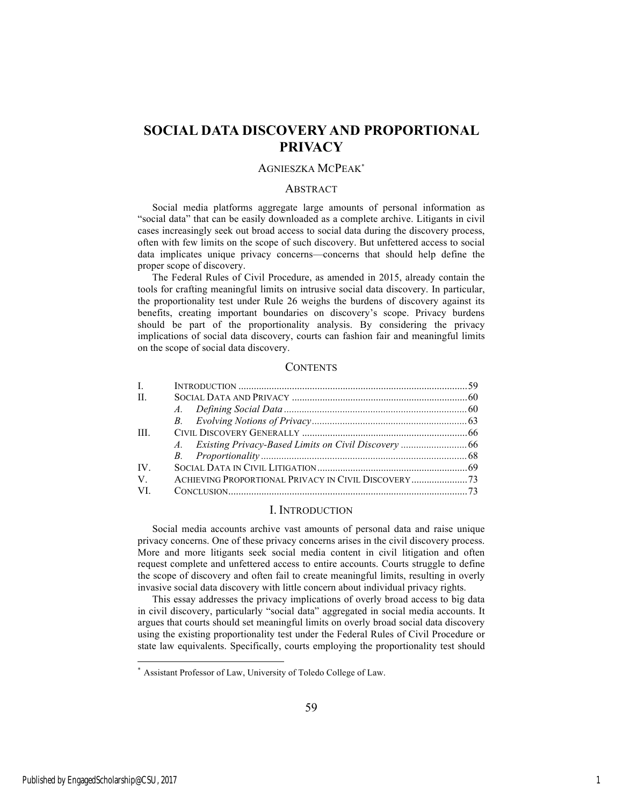## **SOCIAL DATA DISCOVERY AND PROPORTIONAL PRIVACY**

## AGNIESZKA MCPEAK\*

#### **ABSTRACT**

Social media platforms aggregate large amounts of personal information as "social data" that can be easily downloaded as a complete archive. Litigants in civil cases increasingly seek out broad access to social data during the discovery process, often with few limits on the scope of such discovery. But unfettered access to social data implicates unique privacy concerns—concerns that should help define the proper scope of discovery.

The Federal Rules of Civil Procedure, as amended in 2015, already contain the tools for crafting meaningful limits on intrusive social data discovery. In particular, the proportionality test under Rule 26 weighs the burdens of discovery against its benefits, creating important boundaries on discovery's scope. Privacy burdens should be part of the proportionality analysis. By considering the privacy implications of social data discovery, courts can fashion fair and meaningful limits on the scope of social data discovery.

#### **CONTENTS**

| $\mathbf{L}$ |  |
|--------------|--|
| $\mathbf{H}$ |  |
|              |  |
|              |  |
| <b>III</b>   |  |
|              |  |
|              |  |
| IV           |  |
| V            |  |
| VI.          |  |
|              |  |

#### I. INTRODUCTION

Social media accounts archive vast amounts of personal data and raise unique privacy concerns. One of these privacy concerns arises in the civil discovery process. More and more litigants seek social media content in civil litigation and often request complete and unfettered access to entire accounts. Courts struggle to define the scope of discovery and often fail to create meaningful limits, resulting in overly invasive social data discovery with little concern about individual privacy rights.

This essay addresses the privacy implications of overly broad access to big data in civil discovery, particularly "social data" aggregated in social media accounts. It argues that courts should set meaningful limits on overly broad social data discovery using the existing proportionality test under the Federal Rules of Civil Procedure or state law equivalents. Specifically, courts employing the proportionality test should

Assistant Professor of Law, University of Toledo College of Law.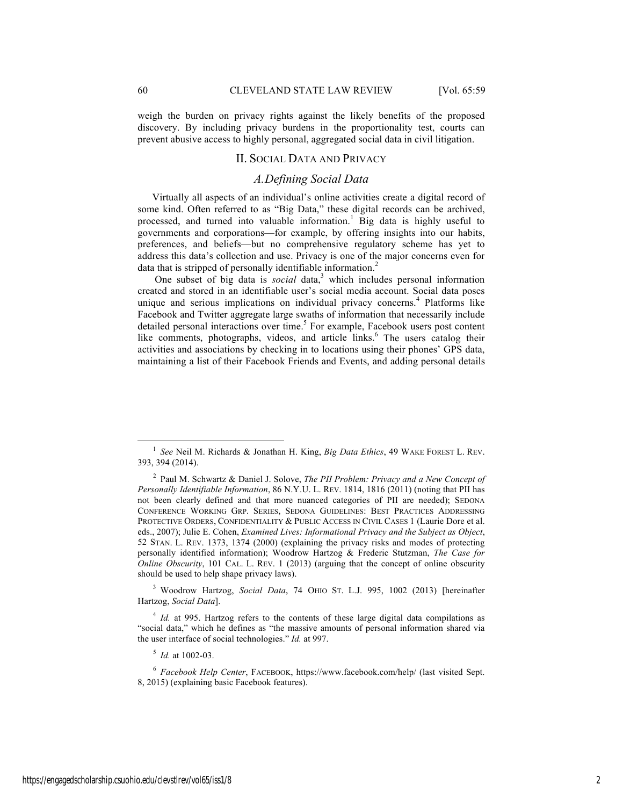weigh the burden on privacy rights against the likely benefits of the proposed discovery. By including privacy burdens in the proportionality test, courts can prevent abusive access to highly personal, aggregated social data in civil litigation.

#### II. SOCIAL DATA AND PRIVACY

## *A.Defining Social Data*

Virtually all aspects of an individual's online activities create a digital record of some kind. Often referred to as "Big Data," these digital records can be archived, processed, and turned into valuable information.<sup>1</sup> Big data is highly useful to governments and corporations—for example, by offering insights into our habits, preferences, and beliefs—but no comprehensive regulatory scheme has yet to address this data's collection and use. Privacy is one of the major concerns even for data that is stripped of personally identifiable information.<sup>2</sup>

One subset of big data is *social* data,<sup>3</sup> which includes personal information created and stored in an identifiable user's social media account. Social data poses unique and serious implications on individual privacy concerns.<sup>4</sup> Platforms like Facebook and Twitter aggregate large swaths of information that necessarily include detailed personal interactions over time.<sup>5</sup> For example, Facebook users post content like comments, photographs, videos, and article links.<sup>6</sup> The users catalog their activities and associations by checking in to locations using their phones' GPS data, maintaining a list of their Facebook Friends and Events, and adding personal details

<sup>3</sup> Woodrow Hartzog, *Social Data*, 74 OHIO ST. L.J. 995, 1002 (2013) [hereinafter Hartzog, *Social Data*].

<sup>5</sup> *Id.* at 1002-03.

 <sup>1</sup> *See* Neil M. Richards & Jonathan H. King, *Big Data Ethics*, 49 WAKE FOREST L. REV. 393, 394 (2014).

<sup>2</sup> Paul M. Schwartz & Daniel J. Solove, *The PII Problem: Privacy and a New Concept of Personally Identifiable Information*, 86 N.Y.U. L. REV. 1814, 1816 (2011) (noting that PII has not been clearly defined and that more nuanced categories of PII are needed); SEDONA CONFERENCE WORKING GRP. SERIES, SEDONA GUIDELINES: BEST PRACTICES ADDRESSING PROTECTIVE ORDERS, CONFIDENTIALITY & PUBLIC ACCESS IN CIVIL CASES 1 (Laurie Dore et al. eds., 2007); Julie E. Cohen, *Examined Lives: Informational Privacy and the Subject as Object*, 52 STAN. L. REV. 1373, 1374 (2000) (explaining the privacy risks and modes of protecting personally identified information); Woodrow Hartzog & Frederic Stutzman, *The Case for Online Obscurity*, 101 CAL. L. REV. 1 (2013) (arguing that the concept of online obscurity should be used to help shape privacy laws).

<sup>&</sup>lt;sup>4</sup> *Id.* at 995. Hartzog refers to the contents of these large digital data compilations as "social data," which he defines as "the massive amounts of personal information shared via the user interface of social technologies." *Id.* at 997.

<sup>6</sup> *Facebook Help Center*, FACEBOOK, https://www.facebook.com/help/ (last visited Sept. 8, 2015) (explaining basic Facebook features).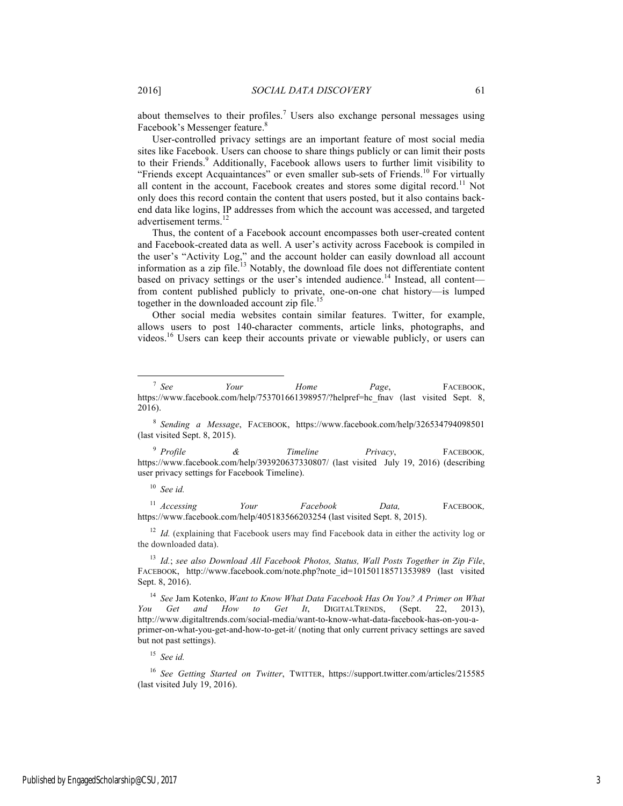about themselves to their profiles.<sup>7</sup> Users also exchange personal messages using Facebook's Messenger feature.<sup>8</sup>

User-controlled privacy settings are an important feature of most social media sites like Facebook. Users can choose to share things publicly or can limit their posts to their Friends.<sup>9</sup> Additionally, Facebook allows users to further limit visibility to "Friends except Acquaintances" or even smaller sub-sets of Friends.<sup>10</sup> For virtually all content in the account, Facebook creates and stores some digital record.<sup>11</sup> Not only does this record contain the content that users posted, but it also contains backend data like logins, IP addresses from which the account was accessed, and targeted advertisement terms.<sup>12</sup>

Thus, the content of a Facebook account encompasses both user-created content and Facebook-created data as well. A user's activity across Facebook is compiled in the user's "Activity Log," and the account holder can easily download all account information as a zip file.<sup>13</sup> Notably, the download file does not differentiate content based on privacy settings or the user's intended audience.<sup>14</sup> Instead, all content from content published publicly to private, one-on-one chat history—is lumped together in the downloaded account zip file.<sup>15</sup>

Other social media websites contain similar features. Twitter, for example, allows users to post 140-character comments, article links, photographs, and videos.16 Users can keep their accounts private or viewable publicly, or users can

<sup>11</sup> *Accessing Your Facebook Data,* FACEBOOK*,* https://www.facebook.com/help/405183566203254 (last visited Sept. 8, 2015).

<sup>12</sup> *Id.* (explaining that Facebook users may find Facebook data in either the activity log or the downloaded data).

<sup>13</sup> *Id.*; *see also Download All Facebook Photos, Status, Wall Posts Together in Zip File*, FACEBOOK, http://www.facebook.com/note.php?note\_id=10150118571353989 (last visited Sept. 8, 2016).

<sup>14</sup> *See* Jam Kotenko, *Want to Know What Data Facebook Has On You? A Primer on What You Get and How to Get It*, DIGITALTRENDS, (Sept. 22, 2013), http://www.digitaltrends.com/social-media/want-to-know-what-data-facebook-has-on-you-aprimer-on-what-you-get-and-how-to-get-it/ (noting that only current privacy settings are saved but not past settings).

<sup>15</sup> *See id.*

<sup>16</sup> *See Getting Started on Twitter*, TWITTER, https://support.twitter.com/articles/215585 (last visited July 19, 2016).

 <sup>7</sup> *See Your Home Page*, FACEBOOK, https://www.facebook.com/help/753701661398957/?helpref=hc\_fnav (last visited Sept. 8, 2016).

<sup>8</sup> *Sending a Message*, FACEBOOK, https://www.facebook.com/help/326534794098501 (last visited Sept. 8, 2015).

<sup>9</sup> *Profile & Timeline Privacy*, FACEBOOK*,* https://www.facebook.com/help/393920637330807/ (last visited July 19, 2016) (describing user privacy settings for Facebook Timeline).

<sup>10</sup> *See id.*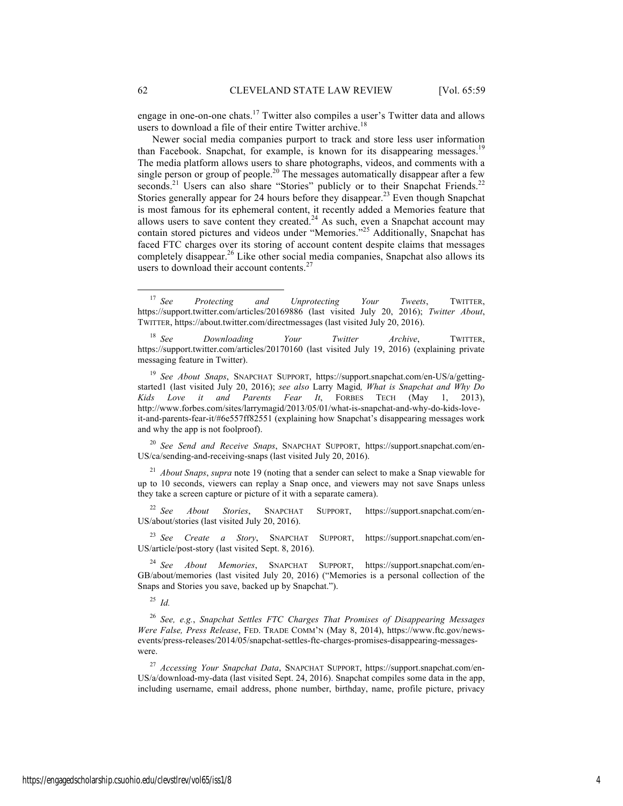engage in one-on-one chats.<sup>17</sup> Twitter also compiles a user's Twitter data and allows users to download a file of their entire Twitter archive.<sup>18</sup>

Newer social media companies purport to track and store less user information than Facebook. Snapchat, for example, is known for its disappearing messages.<sup>1</sup> The media platform allows users to share photographs, videos, and comments with a single person or group of people.<sup>20</sup> The messages automatically disappear after a few seconds.<sup>21</sup> Users can also share "Stories" publicly or to their Snapchat Friends.<sup>22</sup> Stories generally appear for 24 hours before they disappear.<sup>23</sup> Even though Snapchat is most famous for its ephemeral content, it recently added a Memories feature that allows users to save content they created.<sup>24</sup> As such, even a Snapchat account may contain stored pictures and videos under "Memories."<sup>25</sup> Additionally, Snapchat has faced FTC charges over its storing of account content despite claims that messages completely disappear.<sup>26</sup> Like other social media companies, Snapchat also allows its users to download their account contents.<sup>27</sup>

<sup>20</sup> *See Send and Receive Snaps*, SNAPCHAT SUPPORT, https://support.snapchat.com/en-US/ca/sending-and-receiving-snaps (last visited July 20, 2016).

<sup>21</sup> *About Snaps*, *supra* note 19 (noting that a sender can select to make a Snap viewable for up to 10 seconds, viewers can replay a Snap once, and viewers may not save Snaps unless they take a screen capture or picture of it with a separate camera).

<sup>22</sup> *See About Stories*, SNAPCHAT SUPPORT, https://support.snapchat.com/en-US/about/stories (last visited July 20, 2016).

<sup>23</sup> *See Create a Story*, SNAPCHAT SUPPORT, https://support.snapchat.com/en-US/article/post-story (last visited Sept. 8, 2016).

<sup>24</sup> *See About Memories*, SNAPCHAT SUPPORT, https://support.snapchat.com/en-GB/about/memories (last visited July 20, 2016) ("Memories is a personal collection of the Snaps and Stories you save, backed up by Snapchat.").

<sup>25</sup> *Id.*

<sup>26</sup> *See, e.g.*, *Snapchat Settles FTC Charges That Promises of Disappearing Messages Were False, Press Release*, FED. TRADE COMM'N (May 8, 2014), https://www.ftc.gov/newsevents/press-releases/2014/05/snapchat-settles-ftc-charges-promises-disappearing-messageswere.

<sup>27</sup> *Accessing Your Snapchat Data*, SNAPCHAT SUPPORT, https://support.snapchat.com/en-US/a/download-my-data (last visited Sept. 24, 2016). Snapchat compiles some data in the app, including username, email address, phone number, birthday, name, profile picture, privacy

 <sup>17</sup> *See Protecting and Unprotecting Your Tweets*, TWITTER, https://support.twitter.com/articles/20169886 (last visited July 20, 2016); *Twitter About*, TWITTER, https://about.twitter.com/directmessages (last visited July 20, 2016).

<sup>18</sup> *See Downloading Your Twitter Archive*, TWITTER, https://support.twitter.com/articles/20170160 (last visited July 19, 2016) (explaining private messaging feature in Twitter).

<sup>19</sup> *See About Snaps*, SNAPCHAT SUPPORT, https://support.snapchat.com/en-US/a/gettingstarted1 (last visited July 20, 2016); *see also* Larry Magid*, What is Snapchat and Why Do Kids Love it and Parents Fear It*, FORBES TECH (May 1, 2013), http://www.forbes.com/sites/larrymagid/2013/05/01/what-is-snapchat-and-why-do-kids-loveit-and-parents-fear-it/#6e557ff82551 (explaining how Snapchat's disappearing messages work and why the app is not foolproof).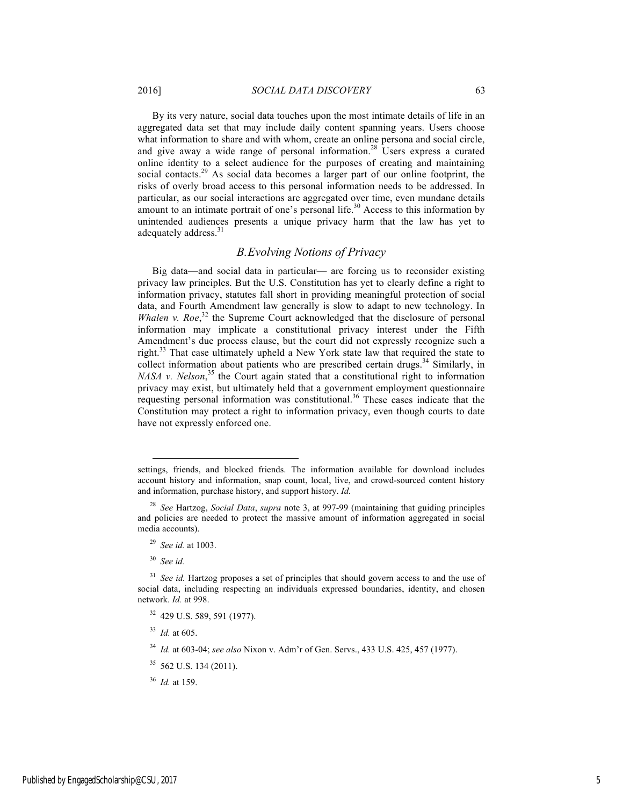By its very nature, social data touches upon the most intimate details of life in an aggregated data set that may include daily content spanning years. Users choose what information to share and with whom, create an online persona and social circle, and give away a wide range of personal information.<sup>28</sup> Users express a curated online identity to a select audience for the purposes of creating and maintaining social contacts.<sup>29</sup> As social data becomes a larger part of our online footprint, the risks of overly broad access to this personal information needs to be addressed. In particular, as our social interactions are aggregated over time, even mundane details amount to an intimate portrait of one's personal life.<sup>30</sup> Access to this information by unintended audiences presents a unique privacy harm that the law has yet to adequately address.<sup>31</sup>

## *B.Evolving Notions of Privacy*

Big data—and social data in particular— are forcing us to reconsider existing privacy law principles. But the U.S. Constitution has yet to clearly define a right to information privacy, statutes fall short in providing meaningful protection of social data, and Fourth Amendment law generally is slow to adapt to new technology. In *Whalen v. Roe*<sup>32</sup> the Supreme Court acknowledged that the disclosure of personal information may implicate a constitutional privacy interest under the Fifth Amendment's due process clause, but the court did not expressly recognize such a right.<sup>33</sup> That case ultimately upheld a New York state law that required the state to collect information about patients who are prescribed certain drugs.<sup>34</sup> Similarly, in *NASA v. Nelson*<sup>35</sup>, the Court again stated that a constitutional right to information privacy may exist, but ultimately held that a government employment questionnaire requesting personal information was constitutional.<sup>36</sup> These cases indicate that the Constitution may protect a right to information privacy, even though courts to date have not expressly enforced one.

settings, friends, and blocked friends. The information available for download includes account history and information, snap count, local, live, and crowd-sourced content history and information, purchase history, and support history. *Id.*

<sup>28</sup> *See* Hartzog, *Social Data*, *supra* note 3, at 997-99 (maintaining that guiding principles and policies are needed to protect the massive amount of information aggregated in social media accounts).

<sup>29</sup> *See id.* at 1003.

<sup>30</sup> *See id.*

<sup>&</sup>lt;sup>31</sup> See id. Hartzog proposes a set of principles that should govern access to and the use of social data, including respecting an individuals expressed boundaries, identity, and chosen network. *Id.* at 998.

<sup>32</sup> 429 U.S. 589, 591 (1977).

<sup>33</sup> *Id.* at 605.

<sup>34</sup> *Id.* at 603-04; *see also* Nixon v. Adm'r of Gen. Servs., 433 U.S. 425, 457 (1977).

<sup>35</sup> 562 U.S. 134 (2011).

<sup>36</sup> *Id.* at 159.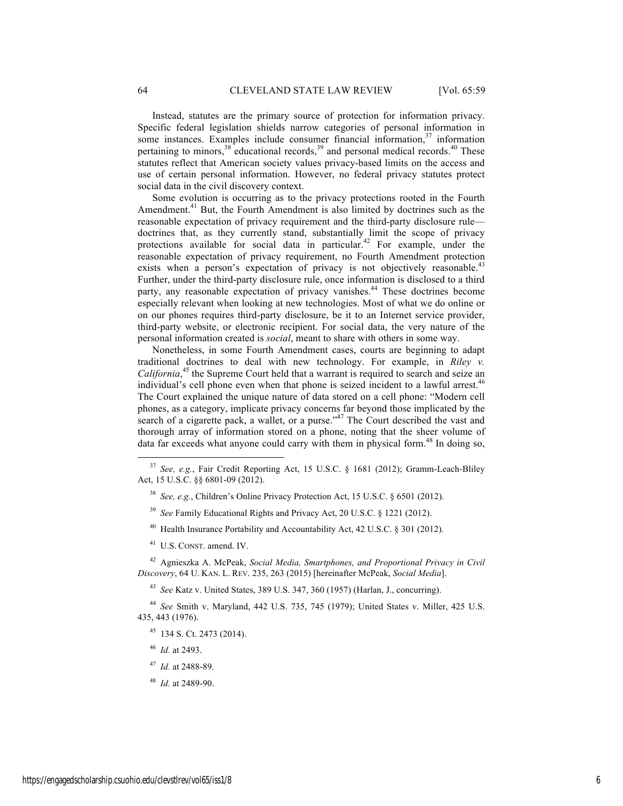Instead, statutes are the primary source of protection for information privacy. Specific federal legislation shields narrow categories of personal information in some instances. Examples include consumer financial information,<sup>37</sup> information pertaining to minors,<sup>38</sup> educational records,<sup>39</sup> and personal medical records.<sup>40</sup> These statutes reflect that American society values privacy-based limits on the access and use of certain personal information. However, no federal privacy statutes protect social data in the civil discovery context.

Some evolution is occurring as to the privacy protections rooted in the Fourth Amendment.<sup>41</sup> But, the Fourth Amendment is also limited by doctrines such as the reasonable expectation of privacy requirement and the third-party disclosure rule doctrines that, as they currently stand, substantially limit the scope of privacy protections available for social data in particular.<sup>42</sup> For example, under the reasonable expectation of privacy requirement, no Fourth Amendment protection exists when a person's expectation of privacy is not objectively reasonable.<sup>43</sup> Further, under the third-party disclosure rule, once information is disclosed to a third party, any reasonable expectation of privacy vanishes.<sup>44</sup> These doctrines become especially relevant when looking at new technologies. Most of what we do online or on our phones requires third-party disclosure, be it to an Internet service provider, third-party website, or electronic recipient. For social data, the very nature of the personal information created is *social*, meant to share with others in some way.

Nonetheless, in some Fourth Amendment cases, courts are beginning to adapt traditional doctrines to deal with new technology. For example, in *Riley v.*  California,<sup>45</sup> the Supreme Court held that a warrant is required to search and seize an individual's cell phone even when that phone is seized incident to a lawful arrest.<sup>46</sup> The Court explained the unique nature of data stored on a cell phone: "Modern cell phones, as a category, implicate privacy concerns far beyond those implicated by the search of a cigarette pack, a wallet, or a purse."<sup>47</sup> The Court described the vast and thorough array of information stored on a phone, noting that the sheer volume of data far exceeds what anyone could carry with them in physical form.<sup>48</sup> In doing so,

- <sup>40</sup> Health Insurance Portability and Accountability Act, 42 U.S.C. § 301 (2012).
- <sup>41</sup> U.S. CONST. amend. IV.

<sup>42</sup> Agnieszka A. McPeak, *Social Media, Smartphones, and Proportional Privacy in Civil Discovery*, 64 U. KAN. L. REV. 235, 263 (2015) [hereinafter McPeak, *Social Media*].

<sup>43</sup> *See* Katz v. United States, 389 U.S. 347, 360 (1957) (Harlan, J., concurring).

<sup>44</sup> *See* Smith v. Maryland, 442 U.S. 735, 745 (1979); United States v. Miller, 425 U.S. 435, 443 (1976).

- <sup>45</sup> 134 S. Ct. 2473 (2014).
- <sup>46</sup> *Id.* at 2493.
- <sup>47</sup> *Id.* at 2488-89.
- <sup>48</sup> *Id.* at 2489-90.

 <sup>37</sup> *See, e.g.*, Fair Credit Reporting Act, 15 U.S.C. § 1681 (2012); Gramm-Leach-Bliley Act, 15 U.S.C. §§ 6801-09 (2012).

<sup>38</sup> *See, e.g.*, Children's Online Privacy Protection Act, 15 U.S.C. § 6501 (2012).

<sup>39</sup> *See* Family Educational Rights and Privacy Act, 20 U.S.C. § 1221 (2012).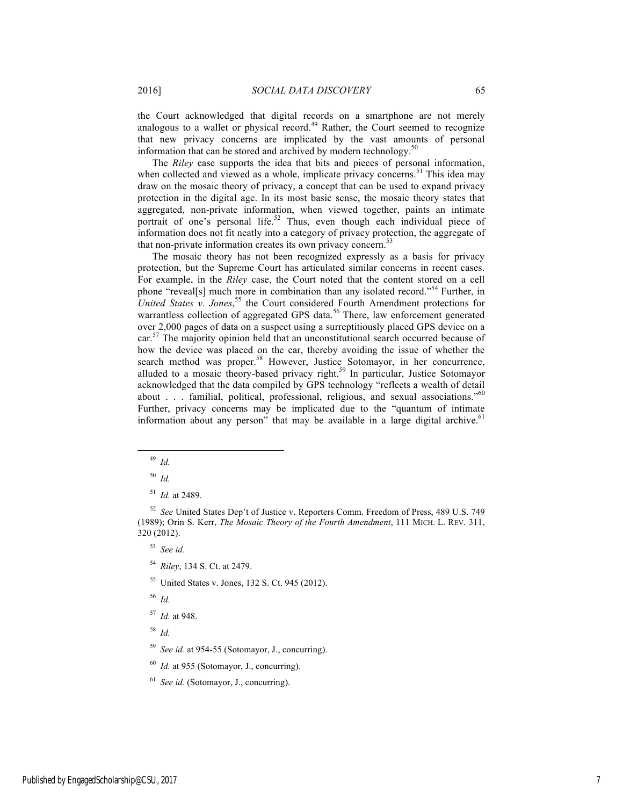the Court acknowledged that digital records on a smartphone are not merely analogous to a wallet or physical record.<sup>49</sup> Rather, the Court seemed to recognize that new privacy concerns are implicated by the vast amounts of personal information that can be stored and archived by modern technology.<sup>50</sup>

The *Riley* case supports the idea that bits and pieces of personal information, when collected and viewed as a whole, implicate privacy concerns.<sup>51</sup> This idea may draw on the mosaic theory of privacy, a concept that can be used to expand privacy protection in the digital age. In its most basic sense, the mosaic theory states that aggregated, non-private information, when viewed together, paints an intimate portrait of one's personal life.<sup>52</sup> Thus, even though each individual piece of information does not fit neatly into a category of privacy protection, the aggregate of that non-private information creates its own privacy concern.<sup>53</sup>

The mosaic theory has not been recognized expressly as a basis for privacy protection, but the Supreme Court has articulated similar concerns in recent cases. For example, in the *Riley* case, the Court noted that the content stored on a cell phone "reveal[s] much more in combination than any isolated record."<sup>54</sup> Further, in United States *v. Jones*,<sup>55</sup> the Court considered Fourth Amendment protections for warrantless collection of aggregated GPS data.<sup>56</sup> There, law enforcement generated over 2,000 pages of data on a suspect using a surreptitiously placed GPS device on a  $car<sup>57</sup>$ . The majority opinion held that an unconstitutional search occurred because of how the device was placed on the car, thereby avoiding the issue of whether the search method was proper.<sup>58</sup> However, Justice Sotomayor, in her concurrence, alluded to a mosaic theory-based privacy right.<sup>59</sup> In particular, Justice Sotomayor acknowledged that the data compiled by GPS technology "reflects a wealth of detail about . . . familial, political, professional, religious, and sexual associations."<sup>60</sup> Further, privacy concerns may be implicated due to the "quantum of intimate information about any person" that may be available in a large digital archive. $61$ 

- <sup>54</sup> *Riley*, 134 S. Ct. at 2479.
- <sup>55</sup> United States v. Jones, 132 S. Ct. 945 (2012).
- <sup>56</sup> *Id.*
- <sup>57</sup> *Id.* at 948.

<sup>58</sup> *Id.*

- <sup>59</sup> *See id.* at 954-55 (Sotomayor, J., concurring).
- <sup>60</sup> *Id.* at 955 (Sotomayor, J., concurring).

 <sup>49</sup> *Id.*

<sup>50</sup> *Id.*

<sup>51</sup> *Id.* at 2489.

<sup>52</sup> *See* United States Dep't of Justice v. Reporters Comm. Freedom of Press, 489 U.S. 749 (1989); Orin S. Kerr, *The Mosaic Theory of the Fourth Amendment*, 111 MICH. L. REV. 311, 320 (2012).

<sup>53</sup> *See id.*

<sup>61</sup> *See id.* (Sotomayor, J., concurring).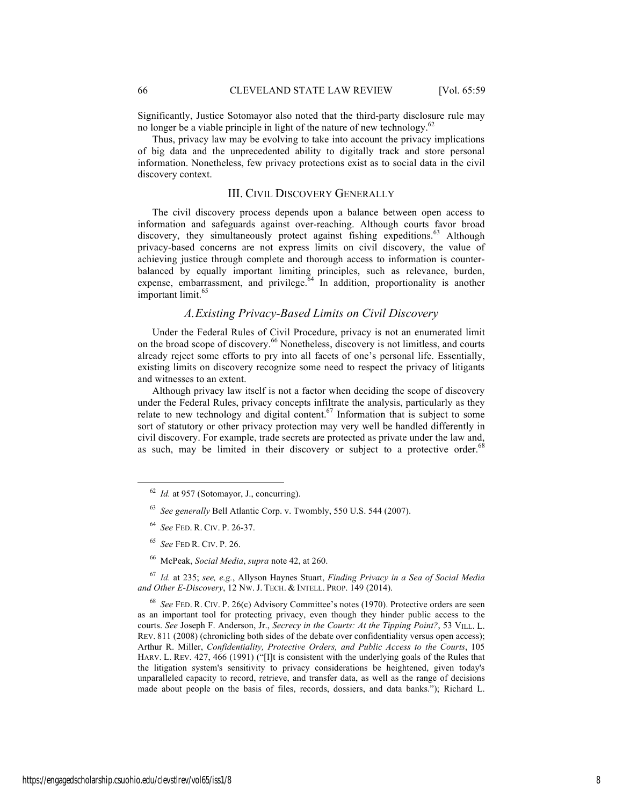Significantly, Justice Sotomayor also noted that the third-party disclosure rule may no longer be a viable principle in light of the nature of new technology.<sup>62</sup>

Thus, privacy law may be evolving to take into account the privacy implications of big data and the unprecedented ability to digitally track and store personal information. Nonetheless, few privacy protections exist as to social data in the civil discovery context.

#### III. CIVIL DISCOVERY GENERALLY

The civil discovery process depends upon a balance between open access to information and safeguards against over-reaching. Although courts favor broad discovery, they simultaneously protect against fishing expeditions.<sup>63</sup> Although privacy-based concerns are not express limits on civil discovery, the value of achieving justice through complete and thorough access to information is counterbalanced by equally important limiting principles, such as relevance, burden, expense, embarrassment, and privilege. $64$  In addition, proportionality is another important limit.<sup>65</sup>

## *A.Existing Privacy-Based Limits on Civil Discovery*

Under the Federal Rules of Civil Procedure, privacy is not an enumerated limit on the broad scope of discovery.<sup>66</sup> Nonetheless, discovery is not limitless, and courts already reject some efforts to pry into all facets of one's personal life. Essentially, existing limits on discovery recognize some need to respect the privacy of litigants and witnesses to an extent.

Although privacy law itself is not a factor when deciding the scope of discovery under the Federal Rules, privacy concepts infiltrate the analysis, particularly as they relate to new technology and digital content.<sup>67</sup> Information that is subject to some sort of statutory or other privacy protection may very well be handled differently in civil discovery. For example, trade secrets are protected as private under the law and, as such, may be limited in their discovery or subject to a protective order.<sup>68</sup>

<sup>67</sup> *Id.* at 235; *see, e.g.*, Allyson Haynes Stuart, *Finding Privacy in a Sea of Social Media and Other E-Discovery*, 12 NW. J. TECH. & INTELL. PROP. 149 (2014).

<sup>68</sup> *See* FED. R. CIV. P. 26(c) Advisory Committee's notes (1970). Protective orders are seen as an important tool for protecting privacy, even though they hinder public access to the courts. *See* Joseph F. Anderson, Jr., *Secrecy in the Courts: At the Tipping Point?*, 53 VILL. L. REV. 811 (2008) (chronicling both sides of the debate over confidentiality versus open access); Arthur R. Miller, *Confidentiality, Protective Orders, and Public Access to the Courts*, 105 HARV. L. REV. 427, 466 (1991) ("[I]t is consistent with the underlying goals of the Rules that the litigation system's sensitivity to privacy considerations be heightened, given today's unparalleled capacity to record, retrieve, and transfer data, as well as the range of decisions made about people on the basis of files, records, dossiers, and data banks."); Richard L.

 <sup>62</sup> *Id.* at 957 (Sotomayor, J., concurring).

<sup>63</sup> *See generally* Bell Atlantic Corp. v. Twombly, 550 U.S. 544 (2007).

<sup>64</sup> *See* FED. R. CIV. P. 26-37.

<sup>65</sup> *See* FED R. CIV. P. 26.

<sup>66</sup> McPeak, *Social Media*, *supra* note 42, at 260.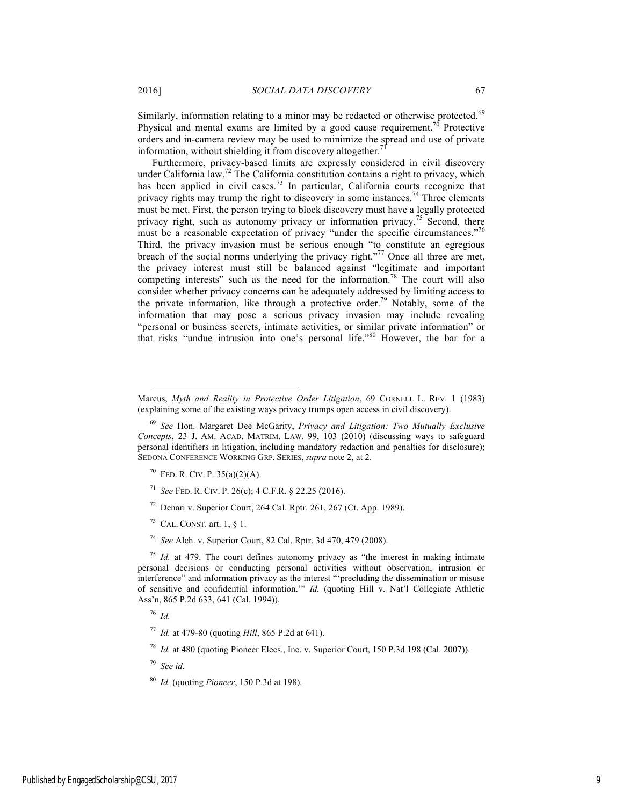Similarly, information relating to a minor may be redacted or otherwise protected.<sup>69</sup> Physical and mental exams are limited by a good cause requirement.<sup>70</sup> Protective orders and in-camera review may be used to minimize the spread and use of private information, without shielding it from discovery altogether.<sup>7</sup>

Furthermore, privacy-based limits are expressly considered in civil discovery under California law.<sup>72</sup> The California constitution contains a right to privacy, which has been applied in civil cases.<sup>73</sup> In particular, California courts recognize that privacy rights may trump the right to discovery in some instances.<sup>74</sup> Three elements must be met. First, the person trying to block discovery must have a legally protected privacy right, such as autonomy privacy or information privacy.<sup>75</sup> Second, there must be a reasonable expectation of privacy "under the specific circumstances."<sup>76</sup> Third, the privacy invasion must be serious enough "to constitute an egregious breach of the social norms underlying the privacy right."<sup>77</sup> Once all three are met, the privacy interest must still be balanced against "legitimate and important competing interests" such as the need for the information.<sup>78</sup> The court will also consider whether privacy concerns can be adequately addressed by limiting access to the private information, like through a protective order.<sup>79</sup> Notably, some of the information that may pose a serious privacy invasion may include revealing "personal or business secrets, intimate activities, or similar private information" or that risks "undue intrusion into one's personal life."<sup>80</sup> However, the bar for a

- <sup>71</sup> *See* FED. R. CIV. P. 26(c); 4 C.F.R. § 22.25 (2016).
- $72$  Denari v. Superior Court, 264 Cal. Rptr. 261, 267 (Ct. App. 1989).
- $73$  CAL. CONST. art. 1,  $\S$  1.
- <sup>74</sup> *See* Alch. v. Superior Court, 82 Cal. Rptr. 3d 470, 479 (2008).

<sup>75</sup> *Id.* at 479. The court defines autonomy privacy as "the interest in making intimate personal decisions or conducting personal activities without observation, intrusion or interference" and information privacy as the interest "'precluding the dissemination or misuse of sensitive and confidential information.'" *Id.* (quoting Hill v. Nat'l Collegiate Athletic Ass'n, 865 P.2d 633, 641 (Cal. 1994)).

<sup>76</sup> *Id.*

<sup>78</sup> *Id.* at 480 (quoting Pioneer Elecs., Inc. v. Superior Court, 150 P.3d 198 (Cal. 2007)).

<sup>79</sup> *See id.*

<sup>80</sup> *Id.* (quoting *Pioneer*, 150 P.3d at 198).

Marcus, *Myth and Reality in Protective Order Litigation*, 69 CORNELL L. REV. 1 (1983) (explaining some of the existing ways privacy trumps open access in civil discovery).

<sup>69</sup> *See* Hon. Margaret Dee McGarity, *Privacy and Litigation: Two Mutually Exclusive Concepts*, 23 J. AM. ACAD. MATRIM. LAW. 99, 103 (2010) (discussing ways to safeguard personal identifiers in litigation, including mandatory redaction and penalties for disclosure); SEDONA CONFERENCE WORKING GRP. SERIES, *supra* note 2, at 2.

<sup>&</sup>lt;sup>70</sup> FED. R. CIV. P.  $35(a)(2)(A)$ .

<sup>77</sup> *Id.* at 479-80 (quoting *Hill*, 865 P.2d at 641).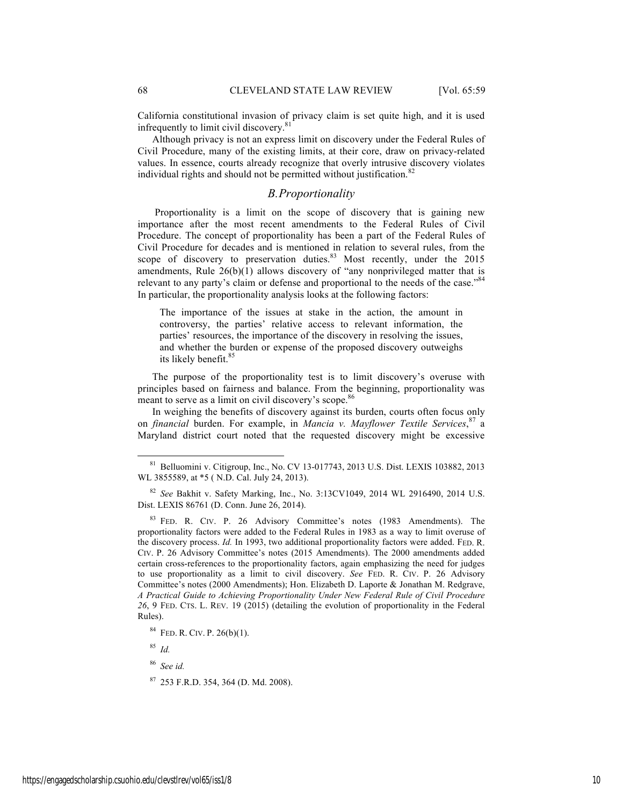California constitutional invasion of privacy claim is set quite high, and it is used infrequently to limit civil discovery.<sup>81</sup>

Although privacy is not an express limit on discovery under the Federal Rules of Civil Procedure, many of the existing limits, at their core, draw on privacy-related values. In essence, courts already recognize that overly intrusive discovery violates individual rights and should not be permitted without justification.<sup>82</sup>

### *B.Proportionality*

Proportionality is a limit on the scope of discovery that is gaining new importance after the most recent amendments to the Federal Rules of Civil Procedure. The concept of proportionality has been a part of the Federal Rules of Civil Procedure for decades and is mentioned in relation to several rules, from the scope of discovery to preservation duties.<sup>83</sup> Most recently, under the 2015 amendments, Rule  $26(b)(1)$  allows discovery of "any nonprivileged matter that is relevant to any party's claim or defense and proportional to the needs of the case."<sup>84</sup> In particular, the proportionality analysis looks at the following factors:

The importance of the issues at stake in the action, the amount in controversy, the parties' relative access to relevant information, the parties' resources, the importance of the discovery in resolving the issues, and whether the burden or expense of the proposed discovery outweighs its likely benefit.<sup>85</sup>

The purpose of the proportionality test is to limit discovery's overuse with principles based on fairness and balance. From the beginning, proportionality was meant to serve as a limit on civil discovery's scope.<sup>86</sup>

In weighing the benefits of discovery against its burden, courts often focus only on *financial* burden. For example, in *Mancia v. Mayflower Textile Services*, <sup>87</sup> a Maryland district court noted that the requested discovery might be excessive

<sup>82</sup> *See* Bakhit v. Safety Marking, Inc., No. 3:13CV1049, 2014 WL 2916490, 2014 U.S. Dist. LEXIS 86761 (D. Conn. June 26, 2014).

<sup>83</sup> FED. R. CIV. P. 26 Advisory Committee's notes (1983 Amendments). The proportionality factors were added to the Federal Rules in 1983 as a way to limit overuse of the discovery process. *Id.* In 1993, two additional proportionality factors were added. FED. R. CIV. P. 26 Advisory Committee's notes (2015 Amendments). The 2000 amendments added certain cross-references to the proportionality factors, again emphasizing the need for judges to use proportionality as a limit to civil discovery. *See* FED. R. CIV. P. 26 Advisory Committee's notes (2000 Amendments); Hon. Elizabeth D. Laporte & Jonathan M. Redgrave, *A Practical Guide to Achieving Proportionality Under New Federal Rule of Civil Procedure 26*, 9 FED. CTS. L. REV. 19 (2015) (detailing the evolution of proportionality in the Federal Rules).

<sup>85</sup> *Id.*

<sup>86</sup> *See id.*

 <sup>81</sup> Belluomini v. Citigroup, Inc., No. CV 13-017743, 2013 U.S. Dist. LEXIS 103882, 2013 WL 3855589, at \*5 ( N.D. Cal. July 24, 2013).

<sup>84</sup> FED. R. CIV. P. 26(b)(1).

<sup>87</sup> 253 F.R.D. 354, 364 (D. Md. 2008).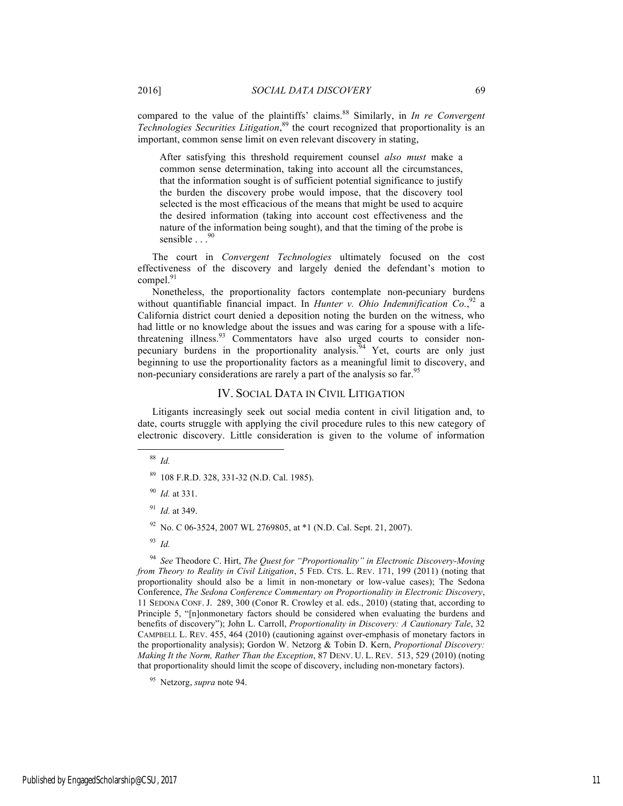compared to the value of the plaintiffs' claims.<sup>88</sup> Similarly, in *In re Convergent Technologies Securities Litigation*, <sup>89</sup> the court recognized that proportionality is an important, common sense limit on even relevant discovery in stating,

After satisfying this threshold requirement counsel *also must* make a common sense determination, taking into account all the circumstances, that the information sought is of sufficient potential significance to justify the burden the discovery probe would impose, that the discovery tool selected is the most efficacious of the means that might be used to acquire the desired information (taking into account cost effectiveness and the nature of the information being sought), and that the timing of the probe is sensible  $\ldots$ <sup>90</sup>

The court in *Convergent Technologies* ultimately focused on the cost effectiveness of the discovery and largely denied the defendant's motion to compel.<sup>91</sup>

Nonetheless, the proportionality factors contemplate non-pecuniary burdens without quantifiable financial impact. In *Hunter v. Ohio Indemnification Co.*<sup>92</sup> a California district court denied a deposition noting the burden on the witness, who had little or no knowledge about the issues and was caring for a spouse with a lifethreatening illness.<sup>93</sup> Commentators have also urged courts to consider nonpecuniary burdens in the proportionality analysis.  $94$  Yet, courts are only just beginning to use the proportionality factors as a meaningful limit to discovery, and non-pecuniary considerations are rarely a part of the analysis so far.<sup>95</sup>

#### IV. SOCIAL DATA IN CIVIL LITIGATION

Litigants increasingly seek out social media content in civil litigation and, to date, courts struggle with applying the civil procedure rules to this new category of electronic discovery. Little consideration is given to the volume of information

88 *Id.*

<sup>94</sup> *See* Theodore C. Hirt, *The Quest for "Proportionality" in Electronic Discovery-Moving from Theory to Reality in Civil Litigation*, 5 FED. CTS. L. REV. 171, 199 (2011) (noting that proportionality should also be a limit in non-monetary or low-value cases); The Sedona Conference, *The Sedona Conference Commentary on Proportionality in Electronic Discovery*, 11 SEDONA CONF. J. 289, 300 (Conor R. Crowley et al. eds., 2010) (stating that, according to Principle 5, "[n]onmonetary factors should be considered when evaluating the burdens and benefits of discovery"); John L. Carroll, *Proportionality in Discovery: A Cautionary Tale*, 32 CAMPBELL L. REV. 455, 464 (2010) (cautioning against over-emphasis of monetary factors in the proportionality analysis); Gordon W. Netzorg & Tobin D. Kern, *Proportional Discovery: Making It the Norm, Rather Than the Exception*, 87 DENV. U. L. REV. 513, 529 (2010) (noting that proportionality should limit the scope of discovery, including non-monetary factors).

<sup>89</sup> 108 F.R.D. 328, 331-32 (N.D. Cal. 1985).

<sup>90</sup> *Id.* at 331.

<sup>91</sup> *Id.* at 349.

 $92$  No. C 06-3524, 2007 WL 2769805, at  $*1$  (N.D. Cal. Sept. 21, 2007).

<sup>93</sup> *Id.*

<sup>95</sup> Netzorg, *supra* note 94.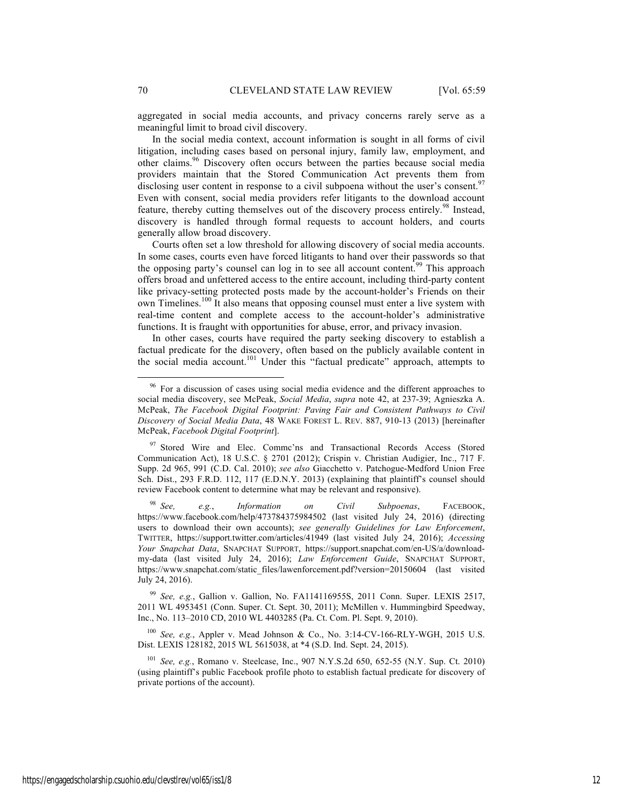aggregated in social media accounts, and privacy concerns rarely serve as a meaningful limit to broad civil discovery.

In the social media context, account information is sought in all forms of civil litigation, including cases based on personal injury, family law, employment, and other claims.<sup>96</sup> Discovery often occurs between the parties because social media providers maintain that the Stored Communication Act prevents them from disclosing user content in response to a civil subpoena without the user's consent.<sup>97</sup> Even with consent, social media providers refer litigants to the download account feature, thereby cutting themselves out of the discovery process entirely.<sup>98</sup> Instead, discovery is handled through formal requests to account holders, and courts generally allow broad discovery.

Courts often set a low threshold for allowing discovery of social media accounts. In some cases, courts even have forced litigants to hand over their passwords so that the opposing party's counsel can log in to see all account content.<sup>99</sup> This approach offers broad and unfettered access to the entire account, including third-party content like privacy-setting protected posts made by the account-holder's Friends on their own Timelines.<sup>100</sup> It also means that opposing counsel must enter a live system with real-time content and complete access to the account-holder's administrative functions. It is fraught with opportunities for abuse, error, and privacy invasion.

In other cases, courts have required the party seeking discovery to establish a factual predicate for the discovery, often based on the publicly available content in the social media account.<sup>101</sup> Under this "factual predicate" approach, attempts to

<sup>99</sup> *See, e.g.*, Gallion v. Gallion, No. FA114116955S, 2011 Conn. Super. LEXIS 2517, 2011 WL 4953451 (Conn. Super. Ct. Sept. 30, 2011); McMillen v. Hummingbird Speedway, Inc., No. 113–2010 CD, 2010 WL 4403285 (Pa. Ct. Com. Pl. Sept. 9, 2010).

<sup>100</sup> *See, e.g.*, Appler v. Mead Johnson & Co., No. 3:14-CV-166-RLY-WGH, 2015 U.S. Dist. LEXIS 128182, 2015 WL 5615038, at \*4 (S.D. Ind. Sept. 24, 2015).

<sup>101</sup> *See, e.g.*, Romano v. Steelcase, Inc., 907 N.Y.S.2d 650, 652-55 (N.Y. Sup. Ct. 2010) (using plaintiff's public Facebook profile photo to establish factual predicate for discovery of private portions of the account).

<sup>&</sup>lt;sup>96</sup> For a discussion of cases using social media evidence and the different approaches to social media discovery, see McPeak, *Social Media*, *supra* note 42, at 237-39; Agnieszka A. McPeak, *The Facebook Digital Footprint: Paving Fair and Consistent Pathways to Civil Discovery of Social Media Data*, 48 WAKE FOREST L. REV. 887, 910-13 (2013) [hereinafter McPeak, *Facebook Digital Footprint*].

<sup>&</sup>lt;sup>97</sup> Stored Wire and Elec. Commc'ns and Transactional Records Access (Stored Communication Act), 18 U.S.C. § 2701 (2012); Crispin v. Christian Audigier, Inc., 717 F. Supp. 2d 965, 991 (C.D. Cal. 2010); *see also* Giacchetto v. Patchogue-Medford Union Free Sch. Dist., 293 F.R.D. 112, 117 (E.D.N.Y. 2013) (explaining that plaintiff's counsel should review Facebook content to determine what may be relevant and responsive).

<sup>98</sup> *See, e.g.*, *Information on Civil Subpoenas*, FACEBOOK, https://www.facebook.com/help/473784375984502 (last visited July 24, 2016) (directing users to download their own accounts); *see generally Guidelines for Law Enforcement*, TWITTER, https://support.twitter.com/articles/41949 (last visited July 24, 2016); *Accessing Your Snapchat Data*, SNAPCHAT SUPPORT, https://support.snapchat.com/en-US/a/downloadmy-data (last visited July 24, 2016); *Law Enforcement Guide*, SNAPCHAT SUPPORT, https://www.snapchat.com/static\_files/lawenforcement.pdf?version=20150604 (last visited July 24, 2016).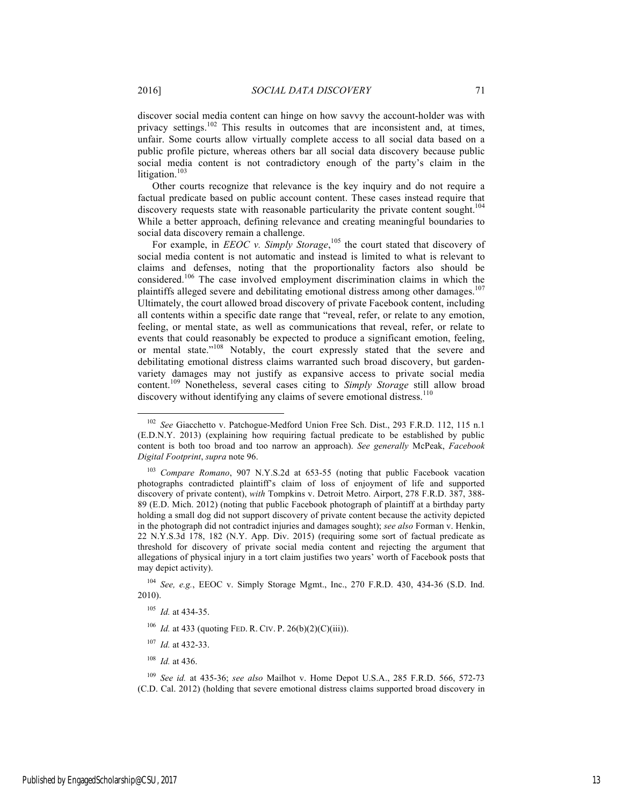discover social media content can hinge on how savvy the account-holder was with privacy settings.<sup>102</sup> This results in outcomes that are inconsistent and, at times, unfair. Some courts allow virtually complete access to all social data based on a public profile picture, whereas others bar all social data discovery because public social media content is not contradictory enough of the party's claim in the litigation.<sup>103</sup>

Other courts recognize that relevance is the key inquiry and do not require a factual predicate based on public account content. These cases instead require that discovery requests state with reasonable particularity the private content sought.<sup>104</sup> While a better approach, defining relevance and creating meaningful boundaries to social data discovery remain a challenge.

For example, in *EEOC* v. Simply Storage,<sup>105</sup> the court stated that discovery of social media content is not automatic and instead is limited to what is relevant to claims and defenses, noting that the proportionality factors also should be considered.<sup>106</sup> The case involved employment discrimination claims in which the plaintiffs alleged severe and debilitating emotional distress among other damages.<sup>107</sup> Ultimately, the court allowed broad discovery of private Facebook content, including all contents within a specific date range that "reveal, refer, or relate to any emotion, feeling, or mental state, as well as communications that reveal, refer, or relate to events that could reasonably be expected to produce a significant emotion, feeling, or mental state."<sup>108</sup> Notably, the court expressly stated that the severe and debilitating emotional distress claims warranted such broad discovery, but gardenvariety damages may not justify as expansive access to private social media content.<sup>109</sup> Nonetheless, several cases citing to *Simply Storage* still allow broad discovery without identifying any claims of severe emotional distress.<sup>110</sup>

- <sup>107</sup> *Id.* at 432-33.
- <sup>108</sup> *Id.* at 436.

 <sup>102</sup> *See* Giacchetto v. Patchogue-Medford Union Free Sch. Dist., 293 F.R.D. 112, 115 n.1 (E.D.N.Y. 2013) (explaining how requiring factual predicate to be established by public content is both too broad and too narrow an approach). *See generally* McPeak, *Facebook Digital Footprint*, *supra* note 96.

<sup>103</sup> *Compare Romano*, 907 N.Y.S.2d at 653-55 (noting that public Facebook vacation photographs contradicted plaintiff's claim of loss of enjoyment of life and supported discovery of private content), *with* Tompkins v. Detroit Metro. Airport, 278 F.R.D. 387, 388- 89 (E.D. Mich. 2012) (noting that public Facebook photograph of plaintiff at a birthday party holding a small dog did not support discovery of private content because the activity depicted in the photograph did not contradict injuries and damages sought); *see also* Forman v. Henkin, 22 N.Y.S.3d 178, 182 (N.Y. App. Div. 2015) (requiring some sort of factual predicate as threshold for discovery of private social media content and rejecting the argument that allegations of physical injury in a tort claim justifies two years' worth of Facebook posts that may depict activity).

<sup>104</sup> *See, e.g.*, EEOC v. Simply Storage Mgmt., Inc., 270 F.R.D. 430, 434-36 (S.D. Ind. 2010).

<sup>105</sup> *Id.* at 434-35.

<sup>&</sup>lt;sup>106</sup> *Id.* at 433 (quoting FED. R. CIV. P. 26(b)(2)(C)(iii)).

<sup>109</sup> *See id.* at 435-36; *see also* Mailhot v. Home Depot U.S.A., 285 F.R.D. 566, 572-73 (C.D. Cal. 2012) (holding that severe emotional distress claims supported broad discovery in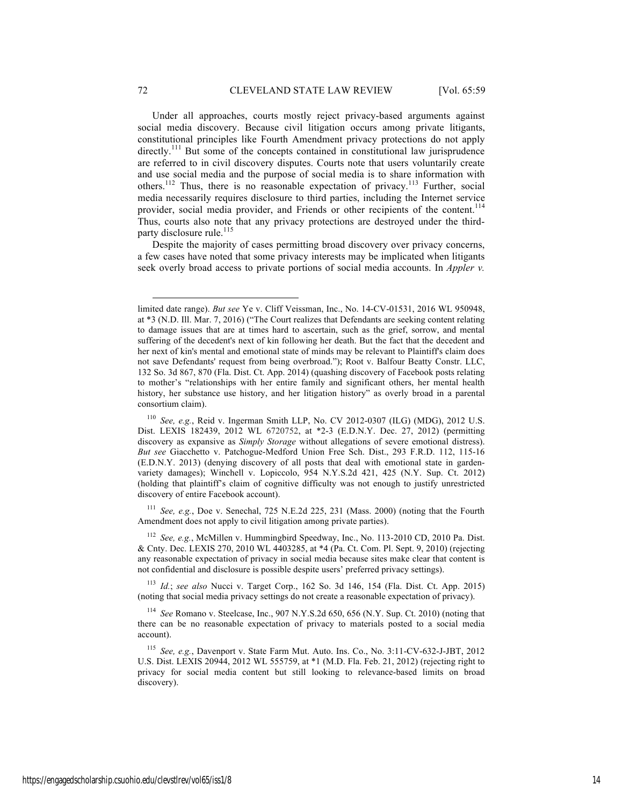Under all approaches, courts mostly reject privacy-based arguments against social media discovery. Because civil litigation occurs among private litigants, constitutional principles like Fourth Amendment privacy protections do not apply directly.<sup>111</sup> But some of the concepts contained in constitutional law jurisprudence are referred to in civil discovery disputes. Courts note that users voluntarily create and use social media and the purpose of social media is to share information with others.<sup>112</sup> Thus, there is no reasonable expectation of privacy.<sup>113</sup> Further, social media necessarily requires disclosure to third parties, including the Internet service provider, social media provider, and Friends or other recipients of the content.<sup>114</sup> Thus, courts also note that any privacy protections are destroyed under the thirdparty disclosure rule.<sup>115</sup>

Despite the majority of cases permitting broad discovery over privacy concerns, a few cases have noted that some privacy interests may be implicated when litigants seek overly broad access to private portions of social media accounts. In *Appler v.* 

<sup>111</sup> *See, e.g.*, Doe v. Senechal, 725 N.E.2d 225, 231 (Mass. 2000) (noting that the Fourth Amendment does not apply to civil litigation among private parties).

<sup>112</sup> *See, e.g.*, McMillen v. Hummingbird Speedway, Inc., No. 113-2010 CD, 2010 Pa. Dist. & Cnty. Dec. LEXIS 270, 2010 WL 4403285, at \*4 (Pa. Ct. Com. Pl. Sept. 9, 2010) (rejecting any reasonable expectation of privacy in social media because sites make clear that content is not confidential and disclosure is possible despite users' preferred privacy settings).

<sup>113</sup> *Id.*; *see also* Nucci v. Target Corp., 162 So. 3d 146, 154 (Fla. Dist. Ct. App. 2015) (noting that social media privacy settings do not create a reasonable expectation of privacy).

<sup>114</sup> *See* Romano v. Steelcase, Inc., 907 N.Y.S.2d 650, 656 (N.Y. Sup. Ct. 2010) (noting that there can be no reasonable expectation of privacy to materials posted to a social media account).

<sup>115</sup> *See, e.g.*, Davenport v. State Farm Mut. Auto. Ins. Co., No. 3:11-CV-632-J-JBT, 2012 U.S. Dist. LEXIS 20944, 2012 WL 555759, at \*1 (M.D. Fla. Feb. 21, 2012) (rejecting right to privacy for social media content but still looking to relevance-based limits on broad discovery).

limited date range). *But see* Ye v. Cliff Veissman, Inc., No. 14-CV-01531, 2016 WL 950948, at \*3 (N.D. Ill. Mar. 7, 2016) ("The Court realizes that Defendants are seeking content relating to damage issues that are at times hard to ascertain, such as the grief, sorrow, and mental suffering of the decedent's next of kin following her death. But the fact that the decedent and her next of kin's mental and emotional state of minds may be relevant to Plaintiff's claim does not save Defendants' request from being overbroad."); Root v. Balfour Beatty Constr. LLC, 132 So. 3d 867, 870 (Fla. Dist. Ct. App. 2014) (quashing discovery of Facebook posts relating to mother's "relationships with her entire family and significant others, her mental health history, her substance use history, and her litigation history" as overly broad in a parental consortium claim).

<sup>110</sup> *See, e.g.*, Reid v. Ingerman Smith LLP, No. CV 2012-0307 (ILG) (MDG), 2012 U.S. Dist. LEXIS 182439, 2012 WL 6720752, at \*2-3 (E.D.N.Y. Dec. 27, 2012) (permitting discovery as expansive as *Simply Storage* without allegations of severe emotional distress). *But see* Giacchetto v. Patchogue-Medford Union Free Sch. Dist., 293 F.R.D. 112, 115-16 (E.D.N.Y. 2013) (denying discovery of all posts that deal with emotional state in gardenvariety damages); Winchell v. Lopiccolo, 954 N.Y.S.2d 421, 425 (N.Y. Sup. Ct. 2012) (holding that plaintiff's claim of cognitive difficulty was not enough to justify unrestricted discovery of entire Facebook account).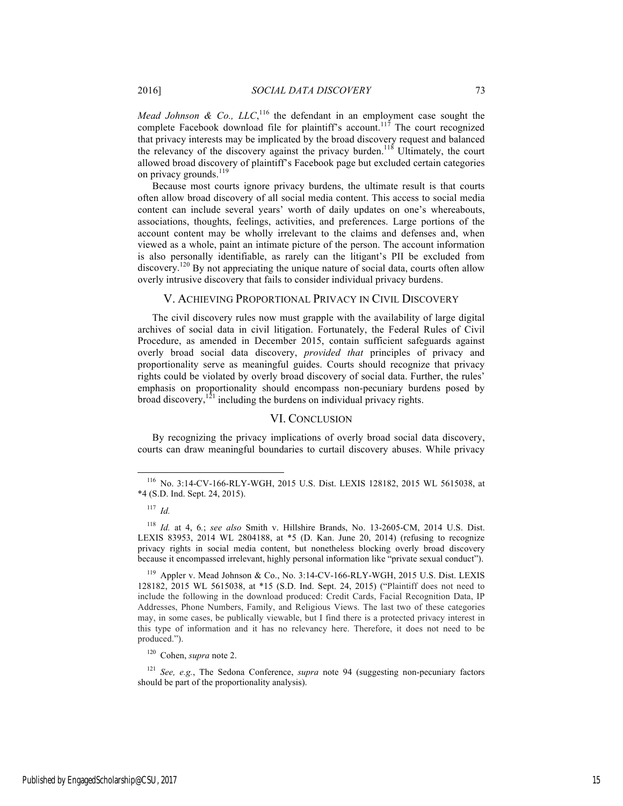*Mead Johnson & Co., LLC*,<sup>116</sup> the defendant in an employment case sought the complete Facebook download file for plaintiff's account.<sup>117</sup> The court recognized that privacy interests may be implicated by the broad discovery request and balanced the relevancy of the discovery against the privacy burden.<sup>118</sup> Ultimately, the court allowed broad discovery of plaintiff's Facebook page but excluded certain categories on privacy grounds.<sup>119</sup>

Because most courts ignore privacy burdens, the ultimate result is that courts often allow broad discovery of all social media content. This access to social media content can include several years' worth of daily updates on one's whereabouts, associations, thoughts, feelings, activities, and preferences. Large portions of the account content may be wholly irrelevant to the claims and defenses and, when viewed as a whole, paint an intimate picture of the person. The account information is also personally identifiable, as rarely can the litigant's PII be excluded from discovery.<sup>120</sup> By not appreciating the unique nature of social data, courts often allow overly intrusive discovery that fails to consider individual privacy burdens.

#### V. ACHIEVING PROPORTIONAL PRIVACY IN CIVIL DISCOVERY

The civil discovery rules now must grapple with the availability of large digital archives of social data in civil litigation. Fortunately, the Federal Rules of Civil Procedure, as amended in December 2015, contain sufficient safeguards against overly broad social data discovery, *provided that* principles of privacy and proportionality serve as meaningful guides. Courts should recognize that privacy rights could be violated by overly broad discovery of social data. Further, the rules' emphasis on proportionality should encompass non-pecuniary burdens posed by broad discovery, $1^{21}$  including the burdens on individual privacy rights.

## VI. CONCLUSION

By recognizing the privacy implications of overly broad social data discovery, courts can draw meaningful boundaries to curtail discovery abuses. While privacy

 $119$  Appler v. Mead Johnson & Co., No. 3:14-CV-166-RLY-WGH, 2015 U.S. Dist. LEXIS 128182, 2015 WL 5615038, at \*15 (S.D. Ind. Sept. 24, 2015) ("Plaintiff does not need to include the following in the download produced: Credit Cards, Facial Recognition Data, IP Addresses, Phone Numbers, Family, and Religious Views. The last two of these categories may, in some cases, be publically viewable, but I find there is a protected privacy interest in this type of information and it has no relevancy here. Therefore, it does not need to be produced.").

<sup>120</sup> Cohen, *supra* note 2.

<sup>121</sup> *See, e.g.*, The Sedona Conference, *supra* note 94 (suggesting non-pecuniary factors should be part of the proportionality analysis).

 <sup>116</sup> No. 3:14-CV-166-RLY-WGH, 2015 U.S. Dist. LEXIS 128182, 2015 WL 5615038, at \*4 (S.D. Ind. Sept. 24, 2015).

<sup>117</sup> *Id.*

<sup>118</sup> *Id.* at 4, 6*.*; *see also* Smith v. Hillshire Brands, No. 13-2605-CM, 2014 U.S. Dist. LEXIS 83953, 2014 WL 2804188, at \*5 (D. Kan. June 20, 2014) (refusing to recognize privacy rights in social media content, but nonetheless blocking overly broad discovery because it encompassed irrelevant, highly personal information like "private sexual conduct").